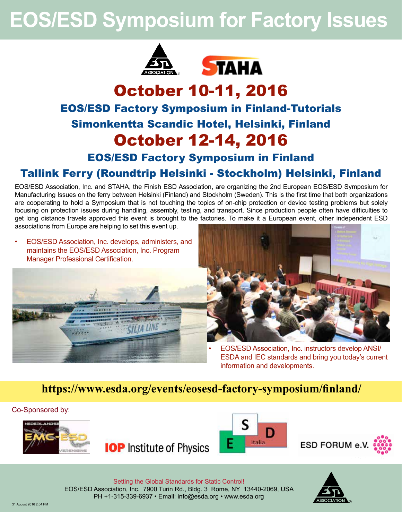# **EOS/ESD Symposium for Factory Issues**





# October 10-11, 2016 EOS/ESD Factory Symposium in Finland-Tutorials Simonkentta Scandic Hotel, Helsinki, Finland October 12-14, 2016

EOS/ESD Factory Symposium in Finland

# Tallink Ferry (Roundtrip Helsinki - Stockholm) Helsinki, Finland

EOS/ESD Association, Inc. and STAHA, the Finish ESD Association, are organizing the 2nd European EOS/ESD Symposium for Manufacturing Issues on the ferry between Helsinki (Finland) and Stockholm (Sweden). This is the first time that both organizations are cooperating to hold a Symposium that is not touching the topics of on-chip protection or device testing problems but solely focusing on protection issues during handling, assembly, testing, and transport. Since production people often have difficulties to get long distance travels approved this event is brought to the factories. To make it a European event, other independent ESD associations from Europe are helping to set this event up.

• EOS/ESD Association, Inc. develops, administers, and maintains the EOS/ESD Association, Inc. Program Manager Professional Certification.





• EOS/ESD Association, Inc. instructors develop ANSI/ ESDA and IEC standards and bring you today's current information and developments.

# **https://www.esda.org/events/eosesd-factory-symposium/finland/**

Co-Sponsored by:









Setting the Global Standards for Static Control! EOS/ESD Association, Inc. 7900 Turin Rd., Bldg. 3 Rome, NY 13440-2069, USA PH +1-315-339-6937 • Email: info@esda.org • www.esda.org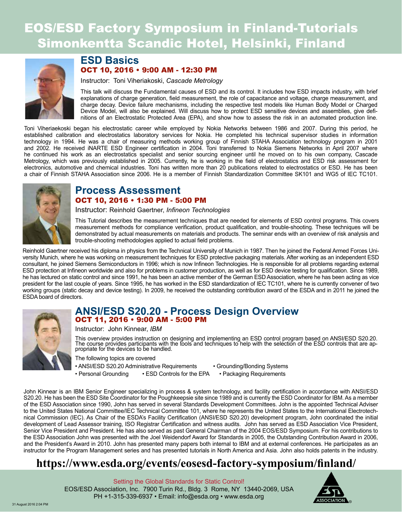# EOS/ESD Factory Symposium in Finland-Tutorials Simonkentta Scandic Hotel, Helsinki, Finland



# **ESD Basics** OCT 10, 2016 • 9:00 AM - 12:30 PM

Instructor: Toni Viheriakoski, *Cascade Metrology*

This talk will discuss the Fundamental causes of ESD and its control. It includes how ESD impacts industry, with brief explanations of charge generation, field measurement, the role of capacitance and voltage, charge measurement, and charge decay. Device failure mechanisms, including the respective test models like Human Body Model or Charged Device Model, will also be explained. Will discuss how to protect ESD sensitive devices and assemblies, give definitions of an Electrostatic Protected Area (EPA), and show how to assess the risk in an automated production line.

Toni Viheriaekoski began his electrostatic career while employed by Nokia Networks between 1986 and 2007. During this period, he established calibration and electrostatics laboratory services for Nokia. He completed his technical supervisor studies in information technology in 1994. He was a chair of measuring methods working group of Finnish STAHA Association technology program in 2001 and 2002. He received iNARTE ESD Engineer certification in 2004. Toni transferred to Nokia Siemens Networks in April 2007 where he continued his work as an electrostatics specialist and senior sourcing engineer until he moved on to his own company, Cascade Metrology, which was previously established in 2005. Currently, he is working in the field of electrostatics and ESD risk assessment for electronics, automotive and chemical industries. Toni has written more than 20 publications related to electrostatics or ESD. He has been a chair of Finnish STAHA Association since 2006. He is a member of Finnish Standardization Committee SK101 and WG5 of IEC TC101.



# **Process Assessment** OCT 10, 2016 • 1:30 PM - 5:00 PM

Instructor: Reinhold Gaertner, *Infineon Technologies*

This Tutorial describes the measurement techniques that are needed for elements of ESD control programs. This covers measurement methods for compliance verification, product qualification, and trouble-shooting. These techniques will be demonstrated by actual measurements on materials and products. The seminar ends with an overview of risk analysis and trouble-shooting methodologies applied to actual field problems.

Reinhold Gaertner received his diploma in physics from the Technical University of Munich in 1987. Then he joined the Federal Armed Forces University Munich, where he was working on measurement techniques for ESD protective packaging materials. After working as an independent ESD consultant, he joined Siemens Semiconductors in 1996; which is now Infineon Technologies. He is responsible for all problems regarding external ESD protection at Infineon worldwide and also for problems in customer production, as well as for ESD device testing for qualification. Since 1989, he has lectured on static control and since 1991, he has been an active member of the German ESD Association, where he has been acting as vice president for the last couple of years. Since 1995, he has worked in the ESD standardization of IEC TC101, where he is currently convener of two working groups (static decay and device testing). In 2009, he received the outstanding contribution award of the ESDA and in 2011 he joined the ESDA board of directors.



# **ANSI/ESD S20.20 - Process Design Overview**  OCT 11, 2016 • 9:00 AM - 5:00 PM

Instructor: John Kinnear, *IBM*

This overview provides instruction on designing and implementing an ESD control program based on ANSI/ESD S20.20. The course provides participants with the tools and techniques to help with the selection of the ESD controls that are ap-<br>propriate for the devices to be handled.

The following topics are covered

- ANSI/ESD S20.20 Administrative Requirements Grounding/Bonding Systems
- Personal Grounding ESD Controls for the EPA Packaging Requirements
- -

John Kinnear is an IBM Senior Engineer specializing in process & system technology, and facility certification in accordance with ANSI/ESD S20.20. He has been the ESD Site Coordinator for the Poughkeepsie site since 1989 and is currently the ESD Coordinator for IBM. As a member of the ESD Association since 1990, John has served in several Standards Development Committees. John is the appointed Technical Adviser to the United States National Committee/IEC Technical Committee 101, where he represents the United States to the International Electrotechnical Commission (IEC). As Chair of the ESDA's Facility Certification (ANSI/ESD S20.20) development program, John coordinated the initial development of Lead Assessor training, ISO Registrar Certification and witness audits. John has served as ESD Association Vice President, Senior Vice President and President. He has also served as past General Chairman of the 2004 EOS/ESD Symposium. For his contributions to the ESD Association John was presented with the Joel Weidendorf Award for Standards in 2005, the Outstanding Contribution Award in 2006, and the President's Award in 2010. John has presented many papers both internal to IBM and at external conferences. He participates as an instructor for the Program Management series and has presented tutorials in North America and Asia. John also holds patents in the industry.

# **https://www.esda.org/events/eosesd-factory-symposium/finland/**

Setting the Global Standards for Static Control! EOS/ESD Association, Inc. 7900 Turin Rd., Bldg. 3 Rome, NY 13440-2069, USA PH +1-315-339-6937 • Email: info@esda.org • www.esda.org

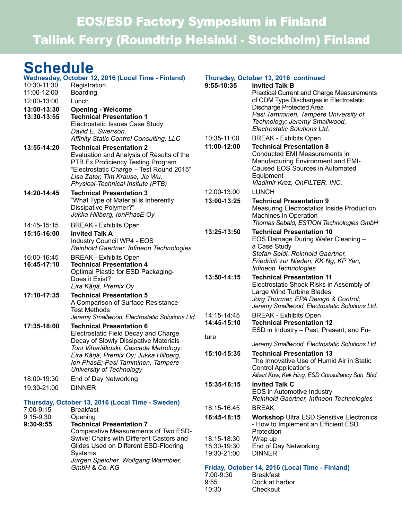# EOS/ESD Factory Symposium in Finland Tallink Ferry (Roundtrip Helsinki - Stockholm) Finland

# **Schedule**

| 10:30-11:30                | Wednesday, October 12, 2016 (Local Time - Finland)<br>Registration                                                                                                                                                                                                   | 9:55-10:35                                      | Thursday, October 13, 2016 continued<br><b>Invited Talk B</b>                                                                                                                           |  |
|----------------------------|----------------------------------------------------------------------------------------------------------------------------------------------------------------------------------------------------------------------------------------------------------------------|-------------------------------------------------|-----------------------------------------------------------------------------------------------------------------------------------------------------------------------------------------|--|
| 11:00-12:00                | <b>Boarding</b>                                                                                                                                                                                                                                                      |                                                 | <b>Practical Current and Charge Measurements</b>                                                                                                                                        |  |
| 12:00-13:00                | Lunch                                                                                                                                                                                                                                                                |                                                 | of CDM Type Discharges in Electrostatic                                                                                                                                                 |  |
| 13:00-13:30                | <b>Opening - Welcome</b>                                                                                                                                                                                                                                             |                                                 | Discharge Protected Area<br>Pasi Tamminen, Tampere University of                                                                                                                        |  |
| 13:30-13:55                | <b>Technical Presentation 1</b><br>Electrostatic Issues Case Study                                                                                                                                                                                                   |                                                 | Technology; Jeremy Smallwood,                                                                                                                                                           |  |
|                            | David E. Swenson,                                                                                                                                                                                                                                                    |                                                 | Electrostatic Solutions Ltd.                                                                                                                                                            |  |
|                            | Affinity Static Control Consulting, LLC                                                                                                                                                                                                                              | 10:35-11:00                                     | <b>BREAK - Exhibits Open</b>                                                                                                                                                            |  |
| 13:55-14:20                | <b>Technical Presentation 2</b><br>Evaluation and Analysis of Results of the<br>PTB Ex Proficiency Testing Program<br>"Electrostatic Charge - Test Round 2015"<br>Lisa Zater, Tim Krause, Jia Wu,<br>Physical-Technical Insitute (PTB)                               | 11:00-12:00                                     | <b>Technical Presentation 8</b><br>Conducted EMI Measurements in<br>Manufacturing Environment and EMI-<br>Caused EOS Sources in Automated<br>Equipment<br>Vladimir Kraz, OnFILTER, INC. |  |
| 14:20-14:45                | <b>Technical Presentation 3</b>                                                                                                                                                                                                                                      | 12:00-13:00                                     | <b>LUNCH</b>                                                                                                                                                                            |  |
|                            | "What Type of Material is Inherently<br>Dissipative Polymer?"<br>Jukka Hillberg, IonPhasE Oy                                                                                                                                                                         | 13:00-13:25                                     | <b>Technical Presentation 9</b><br>Measuring Electrostatics Inside Production<br><b>Machines in Operation</b>                                                                           |  |
| 14:45-15:15                | <b>BREAK - Exhibits Open</b>                                                                                                                                                                                                                                         |                                                 | Thomas Sebald, ESTION Technologies GmbH                                                                                                                                                 |  |
| 15:15-16:00                | <b>Invited Talk A</b><br>Industry Council WP4 - EOS<br>Reinhold Gaertner, Infineon Technologies                                                                                                                                                                      | 13:25-13:50                                     | <b>Technical Presentation 10</b><br>EOS Damage During Wafer Cleaning -<br>a Case Study                                                                                                  |  |
| 16:00-16:45<br>16:45-17:10 | <b>BREAK - Exhibits Open</b><br><b>Technical Presentation 4</b><br>Optimal Plastic for ESD Packaging-<br>Does it Exist?<br>Eira Kärjä, Premix Oy                                                                                                                     |                                                 | Stefan Seidl, Reinhold Gaertner,<br>Friedrich zur Nieden, KK Ng, KP Yan,<br>Infineon Technologies                                                                                       |  |
|                            |                                                                                                                                                                                                                                                                      | 13:50-14:15                                     | <b>Technical Presentation 11</b><br>Electrostatic Shock Risks in Assembly of                                                                                                            |  |
| 17:10-17:35                | <b>Technical Presentation 5</b><br>A Comparison of Surface Resistance<br><b>Test Methods</b>                                                                                                                                                                         |                                                 | Large Wind Turbine Blades<br>Jörg Thürmer, EPA Design & Control;<br>Jeremy Smallwood, Electrostatic Solutions Ltd.                                                                      |  |
|                            | Jeremy Smallwood, Electrostatic Solutions Ltd.                                                                                                                                                                                                                       | 14:15-14:45                                     | <b>BREAK - Exhibits Open</b>                                                                                                                                                            |  |
| 17:35-18:00                | <b>Technical Presentation 6</b><br>Electrostatic Field Decay and Charge<br>Decay of Slowly Dissipative Materials<br>Toni Viheriäkoski, Cascade Metrology;<br>Eira Kärjä, Premix Oy; Jukka Hillberg,<br>Ion PhasE; Pasi Tamminen, Tampere<br>University of Technology | 14:45-15:10<br>ture                             | <b>Technical Presentation 12</b><br>ESD in Industry - Past, Present, and Fu-                                                                                                            |  |
|                            |                                                                                                                                                                                                                                                                      |                                                 | Jeremy Smallwood, Electrostatic Solutions Ltd.                                                                                                                                          |  |
|                            |                                                                                                                                                                                                                                                                      | 15:10-15:35                                     | <b>Technical Presentation 13</b><br>The Innovative Use of Humid Air in Static<br><b>Control Applications</b>                                                                            |  |
| 18:00-19:30                | End of Day Networking                                                                                                                                                                                                                                                | 15:35-16:15                                     | Albert Kow, Kek Hing, ESD Consultancy Sdn. Bhd.<br><b>Invited Talk C</b>                                                                                                                |  |
| 19:30-21:00                | <b>DINNER</b>                                                                                                                                                                                                                                                        |                                                 | EOS in Automotive Industry<br>Reinhold Gaertner, Infineon Technologies                                                                                                                  |  |
| 7:00-9:15                  | Thursday, October 13, 2016 (Local Time - Sweden)<br><b>Breakfast</b>                                                                                                                                                                                                 | 16:15-16:45                                     | <b>BREAK</b>                                                                                                                                                                            |  |
| $9:15-9:30$                | Opening                                                                                                                                                                                                                                                              | 16:45-18:15                                     | <b>Workshop Ultra ESD Sensitive Electronics</b>                                                                                                                                         |  |
| 9:30-9:55                  | <b>Technical Presentation 7</b><br>Comparative Measurements of Two ESD-                                                                                                                                                                                              |                                                 | - How to Implement an Efficient ESD<br>Protection                                                                                                                                       |  |
|                            | Swivel Chairs with Different Castors and                                                                                                                                                                                                                             | 18:15-18:30                                     | Wrap up                                                                                                                                                                                 |  |
|                            | Glides Used on Different ESD-Flooring<br>Systems                                                                                                                                                                                                                     | 18:30-19:30<br>19:30-21:00                      | End of Day Networking<br><b>DINNER</b>                                                                                                                                                  |  |
|                            | Jürgen Speicher, Wolfgang Warmbier,<br>GmbH & Co. KG                                                                                                                                                                                                                 | Friday, October 14, 2016 (Local Time - Finland) |                                                                                                                                                                                         |  |
|                            |                                                                                                                                                                                                                                                                      | 7:00-9:30                                       | <b>Breakfast</b>                                                                                                                                                                        |  |
|                            |                                                                                                                                                                                                                                                                      | 9:55<br>10:30                                   | Dock at harbor<br>Checkout                                                                                                                                                              |  |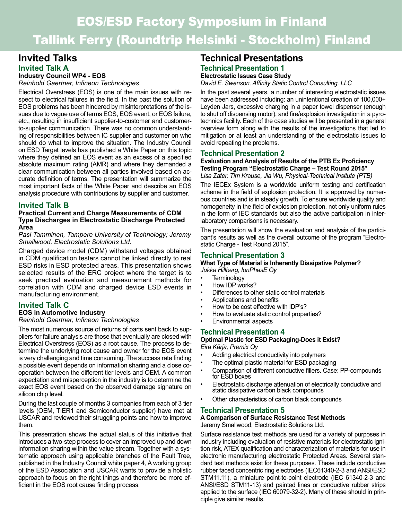# EOS/ESD Factory Symposium in Finland Tallink Ferry (Roundtrip Helsinki - Stockholm) Finland

# **Invited Talks Invited Talk A**

#### **Industry Council WP4 - EOS** *Reinhold Gaertner, Infineon Technologies*

Electrical Overstress (EOS) is one of the main issues with respect to electrical failures in the field. In the past the solution of EOS problems has been hindered by misinterpretations of the issues due to vague use of terms EOS, EOS event, or EOS failure, etc., resulting in insufficient supplier-to-customer and customerto-supplier communication. There was no common understanding of responsibilities between IC supplier and customer on who should do what to improve the situation. The Industry Council on ESD Target levels has published a White Paper on this topic where they defined an EOS event as an excess of a specified absolute maximum rating (AMR) and where they demanded a clear communication between all parties involved based on accurate definition of terms. The presentation will summarize the most important facts of the White Paper and describe an EOS analysis procedure with contributions by supplier and customer.

## **Invited Talk B**

#### **Practical Current and Charge Measurements of CDM Type Discharges in Electrostatic Discharge Protected Area**

#### *Pasi Tamminen, Tampere University of Technology; Jeremy Smallwood, Electrostatic Solutions Ltd.*

Charged device model (CDM) withstand voltages obtained in CDM qualification testers cannot be linked directly to real ESD risks in ESD protected areas. This presentation shows selected results of the ERC project where the target is to seek practical evaluation and measurement methods for correlation with CDM and charged device ESD events in manufacturing environment.

# **Invited Talk C**

# **EOS in Automotive Industry**

#### *Reinhold Gaertner, Infineon Technologies*

The most numerous source of returns of parts sent back to suppliers for failure analysis are those that eventually are closed with Electrical Overstress (EOS) as a root cause. The process to determine the underlying root cause and owner for the EOS event is very challenging and time consuming. The success rate finding a possible event depends on information sharing and a close cooperation between the different tier levels and OEM. A common expectation and misperception in the industry is to determine the exact EOS event based on the observed damage signature on silicon chip level.

During the last couple of months 3 companies from each of 3 tier levels (OEM, TIER1 and Semiconductor supplier) have met at USCAR and reviewed their struggling points and how to improve them.

This presentation shows the actual status of this initiative that introduces a two-step process to cover an improved up and down information sharing within the value stream. Together with a systematic approach using applicable branches of the Fault Tree, published in the Industry Council white paper 4, A working group of the ESD Association and USCAR wants to provide a holistic approach to focus on the right things and therefore be more efficient in the EOS root cause finding process.

# **Technical Presentations**

# **Technical Presentation 1**

**Electrostatic Issues Case Study** *David E. Swenson, Affinity Static Control Consulting, LLC*

In the past several years, a number of interesting electrostatic issues have been addressed including: an unintentional creation of 100,000+ Leyden Jars, excessive charging in a paper towel dispenser (enough to shut off dispensing motor), and fire/explosion investigation in a pyrotechnics facility. Each of the case studies will be presented in a general overview form along with the results of the investigations that led to mitigation or at least an understanding of the electrostatic issues to avoid repeating the problems.

## **Technical Presentation 2**

#### **Evaluation and Analysis of Results of the PTB Ex Proficiency Testing Program "Electrostatic Charge – Test Round 2015"** *Lisa Zater, Tim Krause, Jia Wu, Physical-Technical Insitute (PTB)*

The IECEx System is a worldwide uniform testing and certification scheme in the field of explosion protection. It is approved by numerous countries and is in steady growth. To ensure worldwide quality and homogeneity in the field of explosion protection, not only uniform rules in the form of IEC standards but also the active participation in interlaboratory comparisons is necessary.

The presentation will show the evaluation and analysis of the participant's results as well as the overall outcome of the program "Electrostatic Charge - Test Round 2015".

# **Technical Presentation 3**

#### **What Type of Material is Inherently Dissipative Polymer?** *Jukka Hillberg, IonPhasE Oy*

- **Terminology**
- How IDP works?
- Differences to other static control materials
- Applications and benefits
- How to be cost effective with IDP's?
- How to evaluate static control properties?
- Environmental aspects

## **Technical Presentation 4**

#### **Optimal Plastic for ESD Packaging-Does it Exist?** *Eira Kärjä, Premix Oy*

• Adding electrical conductivity into polymers

- The optimal plastic material for ESD packaging
- Comparison of different conductive fillers. Case: PP-compounds for ESD boxes
- Electrostatic discharge attenuation of electrically conductive and static dissipative carbon black compounds
- Other characteristics of carbon black compounds

#### **Technical Presentation 5**

#### **A Comparison of Surface Resistance Test Methods** Jeremy Smallwood, Electrostatic Solutions Ltd.

Surface resistance test methods are used for a variety of purposes in industry including evaluation of resistive materials for electrostatic ignition risk, ATEX qualification and characterization of materials for use in electronic manufacturing electrostatic Protected Areas. Several standard test methods exist for these purposes. These include conductive rubber faced concentric ring electrodes (IEC61340-2-3 and ANSI/ESD STM11.11), a miniature point-to-point electrode (IEC 61340-2-3 and ANSI/ESD STM11-13) and painted lines or conductive rubber strips applied to the surface (IEC 60079-32-2). Many of these should in principle give similar results.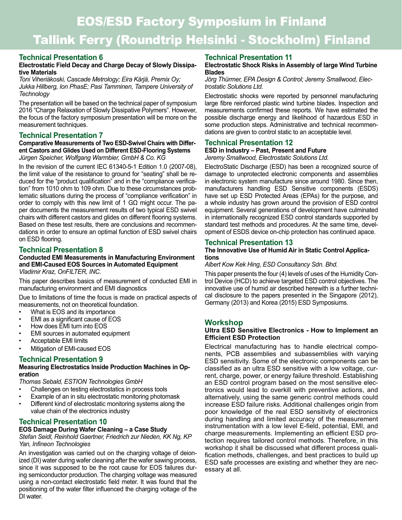# **Technical Presentation 6**

### **Electrostatic Field Decay and Charge Decay of Slowly Dissipative Materials**

*Toni Viheriäkoski, Cascade Metrology; Eira Kärjä, Premix Oy; Jukka Hillberg, Ion PhasE; Pasi Tamminen, Tampere University of Technology*

The presentation will be based on the technical paper of symposium 2016 "Charge Relaxation of Slowly Dissipative Polymers". However, the focus of the factory symposium presentation will be more on the measurement techniques.

# **Technical Presentation 7**

**Comparative Measurements of Two ESD-Swivel Chairs with Different Castors and Glides Used on Different ESD-Flooring Systems** *Jürgen Speicher, Wolfgang Warmbier, GmbH & Co. KG*

In the revision of the current IEC 61340-5-1 Edition 1.0 (2007-08), the limit value of the resistance to ground for "seating" shall be reduced for the "product qualification" and in the "compliance verification" from 1010 ohm to 109 ohm. Due to these circumstances problematic situations during the process of "compliance verification" in order to comply with this new limit of 1 G $\Omega$  might occur. The paper documents the measurement results of two typical ESD swivel chairs with different castors and glides on different flooring systems. Based on these test results, there are conclusions and recommendations in order to ensure an optimal function of ESD swivel chairs on ESD flooring.

# **Technical Presentation 8**

# **Conducted EMI Measurements in Manufacturing Environment and EMI-Caused EOS Sources in Automated Equipment**

*Vladimir Kraz, OnFILTER, INC.*

This paper describes basics of measurement of conducted EMI in manufacturing environment and EMI diagnostics

Due to limitations of time the focus is made on practical aspects of measurements, not on theoretical foundation.

- What is EOS and its importance
- EMI as a significant cause of EOS
- How does EMI turn into EOS
- EMI sources in automated equipment
- Acceptable EMI limits
- Mitigation of EMI-caused EOS

# **Technical Presentation 9**

### **Measuring Electrostatics Inside Production Machines in Operation**

*Thomas Sebald, ESTION Technologies GmbH*

- Challenges on testing electrostatics in process tools
- Example of an in situ electrostatic monitoring photomask<br>• Different kind of electrostatic monitoring systems along the
- Different kind of electrostatic monitoring systems along the value chain of the electronics industry

# **Technical Presentation 10**

# **EOS Damage During Wafer Cleaning – a Case Study**

*Stefan Seidl, Reinhold Gaertner, Friedrich zur Nieden, KK Ng, KP Yan, Infineon Technologies*

An investigation was carried out on the charging voltage of deionized (DI) water during wafer cleaning after the wafer sawing process, since it was supposed to be the root cause for EOS failures during semiconductor production. The charging voltage was measured using a non-contact electrostatic field meter. It was found that the positioning of the water filter influenced the charging voltage of the DI water.

# **Technical Presentation 11**

### **Electrostatic Shock Risks in Assembly of large Wind Turbine Blades**

*Jörg Thürmer, EPA Design & Control; Jeremy Smallwood, Electrostatic Solutions Ltd.*

Electrostatic shocks were reported by personnel manufacturing large fibre reinforced plastic wind turbine blades. Inspection and measurements confirmed these reports. We have estimated the possible discharge energy and likelihood of hazardous ESD in some production steps. Administrative and technical recommendations are given to control static to an acceptable level.

# **Technical Presentation 12**

# **ESD in Industry – Past, Present and Future**

*Jeremy Smallwood, Electrostatic Solutions Ltd.*

ElectroStatic Discharge (ESD) has been a recognized source of damage to unprotected electronic components and assemblies in electronic system manufacture since around 1980. Since then, manufacturers handling ESD Sensitive components (ESDS) have set up ESD Protected Areas (EPAs) for the purpose, and a whole industry has grown around the provision of ESD control equipment. Several generations of development have culminated in internationally recognized ESD control standards supported by standard test methods and procedures. At the same time, development of ESDS device on-chip protection has continued apace.

# **Technical Presentation 13**

#### **The Innovative Use of Humid Air in Static Control Applications**

*Albert Kow Kek Hing, ESD Consultancy Sdn. Bhd.*

This paper presents the four (4) levels of uses of the Humidity Control Device (HCD) to achieve targeted ESD control objectives. The innovative use of humid air described herewith is a further technical disclosure to the papers presented in the Singapore (2012), Germany (2013) and Korea (2015) ESD Symposiums.

# **Workshop**

## **Ultra ESD Sensitive Electronics - How to Implement an Efficient ESD Protection**

Electrical manufacturing has to handle electrical components, PCB assemblies and subassemblies with varying ESD sensitivity. Some of the electronic components can be classified as an ultra ESD sensitive with a low voltage, current, charge, power, or energy failure threshold. Establishing an ESD control program based on the most sensitive electronics would lead to overkill with preventive actions, and alternatively, using the same generic control methods could increase ESD failure risks. Additional challenges origin from poor knowledge of the real ESD sensitivity of electronics during handling and limited accuracy of the measurement instrumentation with a low level E-field, potential, EMI, and charge measurements. Implementing an efficient ESD protection requires tailored control methods. Therefore, in this workshop it shall be discussed what different process qualification methods, challenges, and best practices to build up ESD safe processes are existing and whether they are necessary at all.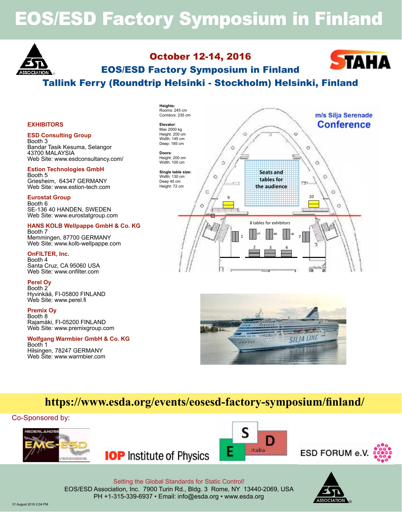# EOS/ESD Factory Symposium in Finland



# October 12-14, 2016 EOS/ESD Factory Symposium in Finland



# Tallink Ferry (Roundtrip Helsinki - Stockholm) Helsinki, Finland

#### **EXHIBITORS**

#### **ESD Consulting Group**

Booth 3 Bandar Tasik Kesuma, Selangor 43700 MALAYSIA Web Site: www.esdconsultancy.com/

#### **Estion Technologies GmbH**

Booth 5 Griesheim, 64347 GERMANY Web Site: www.estion-tech.com

#### **Eurostat Group**

Booth 6 SE-136 40 HANDEN, SWEDEN Web Site: www.eurostatgroup.com

#### **HANS KOLB Wellpappe GmbH & Co. KG** Booth 7 Memmingen, 87700 GERMANY

Web Site: www.kolb-wellpappe.com

#### **OnFILTER, Inc.**

Booth 4 Santa Cruz, CA 95060 USA Web Site: www.onfilter.com

**Perel Oy** Booth 2 Hyvinkää, FI-05800 FINLAND Web Site: www.perel.fi

**Premix Oy** Booth 8 Rajamäki, FI-05200 FINLAND Web Site: www.premixgroup.com

#### **Wolfgang Warmbier GmbH & Co. KG**

Booth 1 Hilsingen, 78247 GERMANY Web Site: www.warmbier.com





# **https://www.esda.org/events/eosesd-factory-symposium/finland/**

#### Co-Sponsored by:



**IOP** Institute of Physics





Setting the Global Standards for Static Control! EOS/ESD Association, Inc. 7900 Turin Rd., Bldg. 3 Rome, NY 13440-2069, USA PH +1-315-339-6937 • Email: info@esda.org • www.esda.org